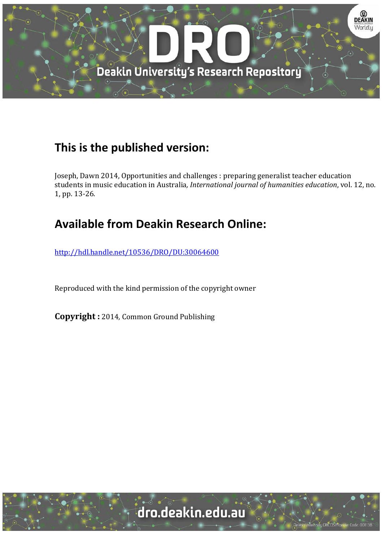

# **This is the published version:**

Joseph, Dawn 2014, Opportunities and challenges : preparing generalist teacher education students in music education in Australia, *International journal of humanities education*, vol. 12, no. 1, pp. 13-26.

# **Available from Deakin Research Online:**

http://hdl.handle.net/10536/DRO/DU:30064600

Reproduced with the kind permission of the copyright owner

**Copyright** : 2014, Common Ground Publishing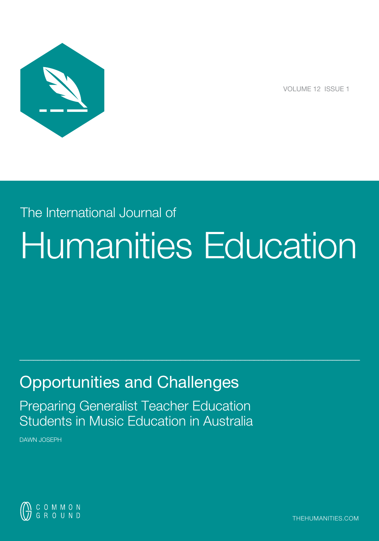

VOLUME 12 ISSUE 1

# The International Journal of Humanities Education

 $\_$  , and the set of the set of the set of the set of the set of the set of the set of the set of the set of the set of the set of the set of the set of the set of the set of the set of the set of the set of the set of th

# Opportunities and Challenges

Preparing Generalist Teacher Education Students in Music Education in Australia

DAWN JOSEPH



thehumanities.com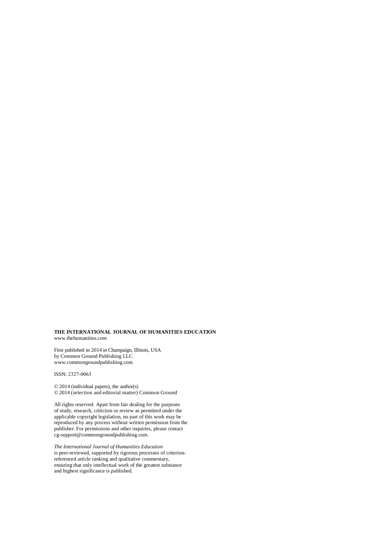#### **THE INTERNATIONAL JOURNAL OF HUMANITIES EDUCATION** www.thehumanities.com

First published in 2014 in Champaign, Illinois, USA by Common Ground Publishing LLC www.commongroundpublishing.com

ISSN: 2327-0063

© 2014 (individual papers), the author(s) © 2014 (selection and editorial matter) Common Ground

All rights reserved. Apart from fair dealing for the purposes of study, research, criticism or review as permitted under the applicable copyright legislation, no part of this work may be reproduced by any process without written permission from the publisher. For permissions and other inquiries, please contact cg-support@commongroundpublishing.com.

*The International Journal of Humanities Education* is peer-reviewed, supported by rigorous processes of criterionreferenced article ranking and qualitative commentary, ensuring that only intellectual work of the greatest substance and highest significance is published.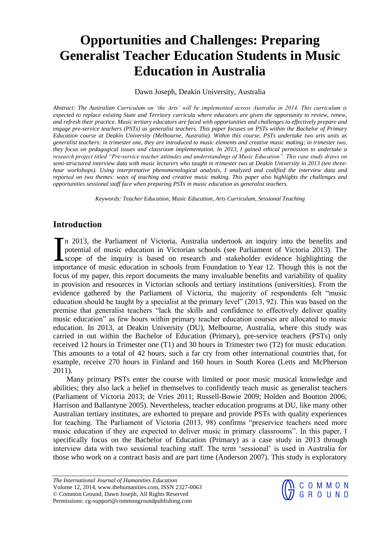# **Opportunities and Challenges: Preparing Generalist Teacher Education Students in Music Education in Australia**

#### Dawn Joseph, Deakin University, Australia

*Abstract: The Australian Curriculum on 'the Arts' will be implemented across Australia in 2014. This curriculum is expected to replace existing State and Territory curricula where educators are given the opportunity to review, renew, and refresh their practice. Music tertiary educators are faced with opportunities and challenges to effectively prepare and engage pre-service teachers (PSTs) as generalist teachers. This paper focuses on PSTs within the Bachelor of Primary Education course at Deakin University (Melbourne, Australia). Within this course, PSTs undertake two arts units as generalist teachers: in trimester one, they are introduced to music elements and creative music making; in trimester two, they focus on pedagogical issues and classroom implementation. In 2013, I gained ethical permission to undertake a research project titled "Pre-service teacher attitudes and understandings of Music Education". This case study draws on semi-structured interview data with music lecturers who taught in trimester two at Deakin University in 2013 (ten threehour workshops). Using interpretative phenomenological analysis, I analyzed and codified the interview data and reported on two themes: ways of teaching and creative music making. This paper also highlights the challenges and opportunities sessional staff face when preparing PSTs in music education as generalist teachers.* 

*Keywords: Teacher Education, Music Education, Arts Curriculum, Sessional Teaching* 

# **Introduction**

n 2013, the Parliament of Victoria, Australia undertook an inquiry into the benefits and potential of music education in Victorian schools (see Parliament of Victoria 2013). The scope of the inquiry is based on research and stakeholder evidence highlighting the In 2013, the Parliament of Victoria, Australia undertook an inquiry into the benefits and potential of music education in Victorian schools (see Parliament of Victoria 2013). The scope of the inquiry is based on research a focus of my paper, this report documents the many invaluable benefits and variability of quality in provision and resources in Victorian schools and tertiary institutions (universities). From the evidence gathered by the Parliament of Victoria, the majority of respondents felt "music education should be taught by a specialist at the primary level" (2013, 92). This was based on the premise that generalist teachers "lack the skills and confidence to effectively deliver quality music education" as few hours within primary teacher education courses are allocated to music education. In 2013, at Deakin University (DU), Melbourne, Australia, where this study was carried in out within the Bachelor of Education (Primary), pre-service teachers (PSTs) only received 12 hours in Trimester one (T1) and 30 hours in Trimester two (T2) for music education. This amounts to a total of 42 hours, such a far cry from other international countries that, for example, receive 270 hours in Finland and 160 hours in South Korea (Letts and McPherson 2011).

Many primary PSTs enter the course with limited or poor music musical knowledge and abilities; they also lack a belief in themselves to confidently teach music as generalist teachers (Parliament of Victoria 2013; de Vries 2011; Russell-Bowie 2009; Holden and Boutton 2006; Harrison and Ballantyne 2005). Nevertheless, teacher education programs at DU, like many other Australian tertiary institutes, are exhorted to prepare and provide PSTs with quality experiences for teaching. The Parliament of Victoria (2013, 98) confirms "preservice teachers need more music education if they are expected to deliver music in primary classrooms". In this paper, I specifically focus on the Bachelor of Education (Primary) as a case study in 2013 through interview data with two sessional teaching staff. The term 'sessional' is used in Australia for those who work on a contract basis and are part time (Anderson 2007). This study is exploratory

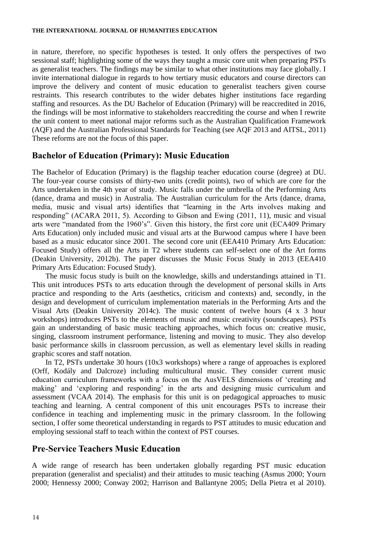in nature, therefore, no specific hypotheses is tested. It only offers the perspectives of two sessional staff; highlighting some of the ways they taught a music core unit when preparing PSTs as generalist teachers. The findings may be similar to what other institutions may face globally. I invite international dialogue in regards to how tertiary music educators and course directors can improve the delivery and content of music education to generalist teachers given course restraints. This research contributes to the wider debates higher institutions face regarding staffing and resources. As the DU Bachelor of Education (Primary) will be reaccredited in 2016, the findings will be most informative to stakeholders reaccrediting the course and when I rewrite the unit content to meet national major reforms such as the Australian Qualification Framework (AQF) and the Australian Professional Standards for Teaching (see AQF 2013 and AITSL, 2011) These reforms are not the focus of this paper.

## **Bachelor of Education (Primary): Music Education**

The Bachelor of Education (Primary) is the flagship teacher education course (degree) at DU. The four-year course consists of thirty-two units (credit points), two of which are core for the Arts undertaken in the 4th year of study. Music falls under the umbrella of the Performing Arts (dance, drama and music) in Australia. The Australian curriculum for the Arts (dance, drama, media, music and visual arts) identifies that "learning in the Arts involves making and responding" (ACARA 2011, 5). According to Gibson and Ewing (2011, 11), music and visual arts were "mandated from the 1960's". Given this history, the first core unit (ECA409 Primary Arts Education) only included music and visual arts at the Burwood campus where I have been based as a music educator since 2001. The second core unit (EEA410 Primary Arts Education: Focused Study) offers all the Arts in T2 where students can self-select one of the Art forms (Deakin University, 2012b). The paper discusses the Music Focus Study in 2013 (EEA410 Primary Arts Education: Focused Study).

The music focus study is built on the knowledge, skills and understandings attained in T1. This unit introduces PSTs to arts education through the development of personal skills in Arts practice and responding to the Arts (aesthetics, criticism and contexts) and, secondly, in the design and development of curriculum implementation materials in the Performing Arts and the Visual Arts (Deakin University 2014c). The music content of twelve hours (4 x 3 hour workshops) introduces PSTs to the elements of music and music creativity (soundscapes). PSTs gain an understanding of basic music teaching approaches, which focus on: creative music, singing, classroom instrument performance, listening and moving to music. They also develop basic performance skills in classroom percussion, as well as elementary level skills in reading graphic scores and staff notation.

In T2, PSTs undertake 30 hours (10x3 workshops) where a range of approaches is explored (Orff, Kodály and Dalcroze) including multicultural music. They consider current music education curriculum frameworks with a focus on the AusVELS dimensions of 'creating and making' and 'exploring and responding' in the arts and designing music curriculum and assessment (VCAA 2014). The emphasis for this unit is on pedagogical approaches to music teaching and learning. A central component of this unit encourages PSTs to increase their confidence in teaching and implementing music in the primary classroom. In the following section, I offer some theoretical understanding in regards to PST attitudes to music education and employing sessional staff to teach within the context of PST courses.

## **Pre-Service Teachers Music Education**

A wide range of research has been undertaken globally regarding PST music education preparation (generalist and specialist) and their attitudes to music teaching (Asmus 2000; Yourn 2000; Hennessy 2000; Conway 2002; Harrison and Ballantyne 2005; Della Pietra et al 2010).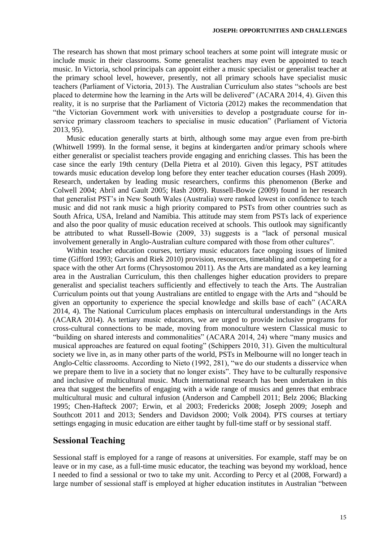The research has shown that most primary school teachers at some point will integrate music or include music in their classrooms. Some generalist teachers may even be appointed to teach music. In Victoria, school principals can appoint either a music specialist or generalist teacher at the primary school level, however, presently, not all primary schools have specialist music teachers (Parliament of Victoria, 2013). The Australian Curriculum also states "schools are best placed to determine how the learning in the Arts will be delivered" (ACARA 2014, 4). Given this reality, it is no surprise that the Parliament of Victoria (2012) makes the recommendation that "the Victorian Government work with universities to develop a postgraduate course for inservice primary classroom teachers to specialise in music education" (Parliament of Victoria 2013, 95).

Music education generally starts at birth, although some may argue even from pre-birth (Whitwell 1999). In the formal sense, it begins at kindergarten and/or primary schools where either generalist or specialist teachers provide engaging and enriching classes. This has been the case since the early 19th century (Della Pietra et al 2010). Given this legacy, PST attitudes towards music education develop long before they enter teacher education courses (Hash 2009). Research, undertaken by leading music researchers, confirms this phenomenon (Berke and Colwell 2004; Abril and Gault 2005; Hash 2009). Russell-Bowie (2009) found in her research that generalist PST's in New South Wales (Australia) were ranked lowest in confidence to teach music and did not rank music a high priority compared to PSTs from other countries such as South Africa, USA, Ireland and Namibia. This attitude may stem from PSTs lack of experience and also the poor quality of music education received at schools. This outlook may significantly be attributed to what Russell-Bowie (2009, 33) suggests is a "lack of personal musical involvement generally in Anglo-Australian culture compared with those from other cultures".

Within teacher education courses, tertiary music educators face ongoing issues of limited time (Gifford 1993; Garvis and Riek 2010) provision, resources, timetabling and competing for a space with the other Art forms (Chrysostomou 2011). As the Arts are mandated as a key learning area in the Australian Curriculum, this then challenges higher education providers to prepare generalist and specialist teachers sufficiently and effectively to teach the Arts. The Australian Curriculum points out that young Australians are entitled to engage with the Arts and "should be given an opportunity to experience the special knowledge and skills base of each" (ACARA 2014, 4). The National Curriculum places emphasis on intercultural understandings in the Arts (ACARA 2014). As tertiary music educators, we are urged to provide inclusive programs for cross-cultural connections to be made, moving from monoculture western Classical music to "building on shared interests and commonalities" (ACARA 2014, 24) where "many musics and musical approaches are featured on equal footing" (Schippers 2010, 31). Given the multicultural society we live in, as in many other parts of the world, PSTs in Melbourne will no longer teach in Anglo-Celtic classrooms. According to Nieto (1992, 281), "we do our students a disservice when we prepare them to live in a society that no longer exists". They have to be culturally responsive and inclusive of multicultural music. Much international research has been undertaken in this area that suggest the benefits of engaging with a wide range of musics and genres that embrace multicultural music and cultural infusion (Anderson and Campbell 2011; Belz 2006; Blacking 1995; Chen-Hafteck 2007; Erwin, et al 2003; Fredericks 2008; Joseph 2009; Joseph and Southcott 2011 and 2013; Senders and Davidson 2000; Volk 2004). PTS courses at tertiary settings engaging in music education are either taught by full-time staff or by sessional staff.

## **Sessional Teaching**

Sessional staff is employed for a range of reasons at universities. For example, staff may be on leave or in my case, as a full-time music educator, the teaching was beyond my workload, hence I needed to find a sessional or two to take my unit. According to Percy et al (2008, Forward) a large number of sessional staff is employed at higher education institutes in Australian "between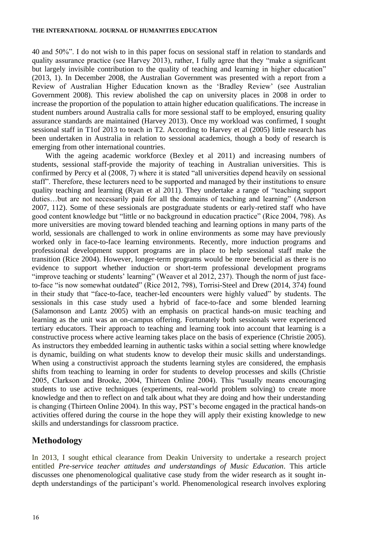40 and 50%". I do not wish to in this paper focus on sessional staff in relation to standards and quality assurance practice (see Harvey 2013), rather, I fully agree that they "make a significant but largely invisible contribution to the quality of teaching and learning in higher education" (2013, 1). In December 2008, the Australian Government was presented with a report from a Review of Australian Higher Education known as the 'Bradley Review' (see Australian Government 2008). This review abolished the cap on university places in 2008 in order to increase the proportion of the population to attain higher education qualifications. The increase in student numbers around Australia calls for more sessional staff to be employed, ensuring quality assurance standards are maintained (Harvey 2013). Once my workload was confirmed, I sought sessional staff in T1of 2013 to teach in T2. According to Harvey et al (2005) little research has been undertaken in Australia in relation to sessional academics, though a body of research is emerging from other international countries.

With the ageing academic workforce (Bexley et al 2011) and increasing numbers of students, sessional staff-provide the majority of teaching in Australian universities. This is confirmed by Percy et al (2008, 7) where it is stated "all universities depend heavily on sessional staff". Therefore, these lecturers need to be supported and managed by their institutions to ensure quality teaching and learning (Ryan et al 2011). They undertake a range of "teaching support duties…but are not necessarily paid for all the domains of teaching and learning" (Anderson 2007, 112). Some of these sessionals are postgraduate students or early-retired staff who have good content knowledge but "little or no background in education practice" (Rice 2004, 798). As more universities are moving toward blended teaching and learning options in many parts of the world, sessionals are challenged to work in online environments as some may have previously worked only in face-to-face learning environments. Recently, more induction programs and professional development support programs are in place to help sessional staff make the transition (Rice 2004). However, longer-term programs would be more beneficial as there is no evidence to support whether induction or short-term professional development programs "improve teaching or students' learning" (Weaver et al 2012, 237). Though the norm of just faceto-face "is now somewhat outdated" (Rice 2012, 798), Torrisi-Steel and Drew (2014, 374) found in their study that "face-to-face, teacher-led encounters were highly valued" by students. The sessionals in this case study used a hybrid of face-to-face and some blended learning (Salamonson and Lantz 2005) with an emphasis on practical hands-on music teaching and learning as the unit was an on-campus offering. Fortunately both sessionals were experienced tertiary educators. Their approach to teaching and learning took into account that learning is a constructive process where active learning takes place on the basis of experience (Christie 2005). As instructors they embedded learning in authentic tasks within a social setting where knowledge is dynamic, building on what students know to develop their music skills and understandings. When using a constructivist approach the students learning styles are considered, the emphasis shifts from teaching to learning in order for students to develop processes and skills (Christie 2005, Clarkson and Brooke, 2004, Thirteen Online 2004). This "usually means encouraging students to use active techniques (experiments, real-world problem solving) to create more knowledge and then to reflect on and talk about what they are doing and how their understanding is changing (Thirteen Online 2004). In this way, PST's become engaged in the practical hands-on activities offered during the course in the hope they will apply their existing knowledge to new skills and understandings for classroom practice.

# **Methodology**

In 2013, I sought ethical clearance from Deakin University to undertake a research project entitled *Pre-service teacher attitudes and understandings of Music Education*. This article discusses one phenomenological qualitative case study from the wider research as it sought indepth understandings of the participant's world. Phenomenological research involves exploring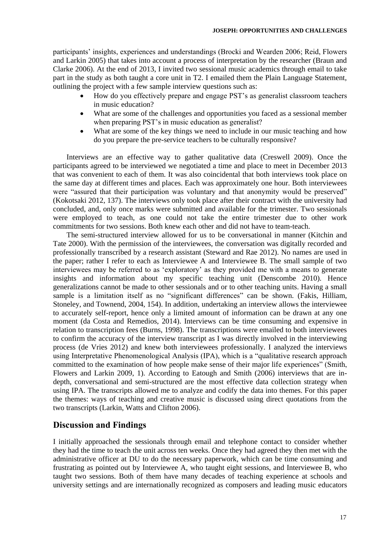participants' insights, experiences and understandings (Brocki and Wearden 2006; Reid, Flowers and Larkin 2005) that takes into account a process of interpretation by the researcher (Braun and Clarke 2006). At the end of 2013, I invited two sessional music academics through email to take part in the study as both taught a core unit in T2. I emailed them the Plain Language Statement, outlining the project with a few sample interview questions such as:

- How do you effectively prepare and engage PST's as generalist classroom teachers in music education?
- What are some of the challenges and opportunities you faced as a sessional member when preparing PST's in music education as generalist?
- What are some of the key things we need to include in our music teaching and how do you prepare the pre-service teachers to be culturally responsive?

Interviews are an effective way to gather qualitative data (Creswell 2009). Once the participants agreed to be interviewed we negotiated a time and place to meet in December 2013 that was convenient to each of them. It was also coincidental that both interviews took place on the same day at different times and places. Each was approximately one hour. Both interviewees were "assured that their participation was voluntary and that anonymity would be preserved" (Kokotsaki 2012, 137). The interviews only took place after their contract with the university had concluded, and, only once marks were submitted and available for the trimester. Two sessionals were employed to teach, as one could not take the entire trimester due to other work commitments for two sessions. Both knew each other and did not have to team-teach.

The semi-structured interview allowed for us to be conversational in manner (Kitchin and Tate 2000). With the permission of the interviewees, the conversation was digitally recorded and professionally transcribed by a research assistant (Steward and Rae 2012). No names are used in the paper; rather I refer to each as Interviewee A and Interviewee B. The small sample of two interviewees may be referred to as 'exploratory' as they provided me with a means to generate insights and information about my specific teaching unit (Denscombe 2010). Hence generalizations cannot be made to other sessionals and or to other teaching units. Having a small sample is a limitation itself as no "significant differences" can be shown. (Fakis, Hilliam, Stoneley, and Townend, 2004, 154). In addition, undertaking an interview allows the interviewee to accurately self-report, hence only a limited amount of information can be drawn at any one moment (da Costa and Remedios, 2014). Interviews can be time consuming and expensive in relation to transcription fees (Burns, 1998). The transcriptions were emailed to both interviewees to confirm the accuracy of the interview transcript as I was directly involved in the interviewing process (de Vries 2012) and knew both interviewees professionally. I analyzed the interviews using Interpretative Phenomenological Analysis (IPA), which is a "qualitative research approach committed to the examination of how people make sense of their major life experiences" (Smith, Flowers and Larkin 2009, 1). According to Eatough and Smith (2006) interviews that are indepth, conversational and semi-structured are the most effective data collection strategy when using IPA. The transcripts allowed me to analyze and codify the data into themes. For this paper the themes: ways of teaching and creative music is discussed using direct quotations from the two transcripts (Larkin, Watts and Clifton 2006).

# **Discussion and Findings**

I initially approached the sessionals through email and telephone contact to consider whether they had the time to teach the unit across ten weeks. Once they had agreed they then met with the administrative officer at DU to do the necessary paperwork, which can be time consuming and frustrating as pointed out by Interviewee A, who taught eight sessions, and Interviewee B, who taught two sessions. Both of them have many decades of teaching experience at schools and university settings and are internationally recognized as composers and leading music educators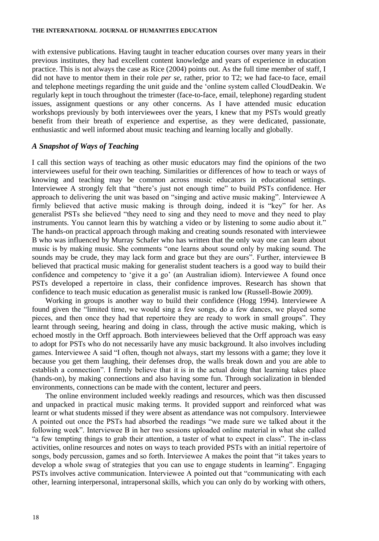with extensive publications. Having taught in teacher education courses over many years in their previous institutes, they had excellent content knowledge and years of experience in education practice. This is not always the case as Rice (2004) points out. As the full time member of staff, I did not have to mentor them in their role *per se*, rather, prior to T2; we had face-to face, email and telephone meetings regarding the unit guide and the 'online system called CloudDeakin. We regularly kept in touch throughout the trimester (face-to-face, email, telephone) regarding student issues, assignment questions or any other concerns. As I have attended music education workshops previously by both interviewees over the years, I knew that my PSTs would greatly benefit from their breath of experience and expertise, as they were dedicated, passionate, enthusiastic and well informed about music teaching and learning locally and globally.

#### *A Snapshot of Ways of Teaching*

I call this section ways of teaching as other music educators may find the opinions of the two interviewees useful for their own teaching. Similarities or differences of how to teach or ways of knowing and teaching may be common across music educators in educational settings. Interviewee A strongly felt that "there's just not enough time" to build PSTs confidence. Her approach to delivering the unit was based on "singing and active music making". Interviewee A firmly believed that active music making is through doing, indeed it is "key" for her. As generalist PSTs she believed "they need to sing and they need to move and they need to play instruments. You cannot learn this by watching a video or by listening to some audio about it." The hands-on practical approach through making and creating sounds resonated with interviewee B who was influenced by Murray Schafer who has written that the only way one can learn about music is by making music. She comments "one learns about sound only by making sound. The sounds may be crude, they may lack form and grace but they are ours". Further, interviewee B believed that practical music making for generalist student teachers is a good way to build their confidence and competency to 'give it a go' (an Australian idiom). Interviewee A found once PSTs developed a repertoire in class, their confidence improves. Research has shown that confidence to teach music education as generalist music is ranked low (Russell-Bowie 2009).

Working in groups is another way to build their confidence (Hogg 1994). Interviewee A found given the "limited time, we would sing a few songs, do a few dances, we played some pieces, and then once they had that repertoire they are ready to work in small groups". They learnt through seeing, hearing and doing in class, through the active music making, which is echoed mostly in the Orff approach. Both interviewees believed that the Orff approach was easy to adopt for PSTs who do not necessarily have any music background. It also involves including games. Interviewee A said "I often, though not always, start my lessons with a game; they love it because you get them laughing, their defenses drop, the walls break down and you are able to establish a connection". I firmly believe that it is in the actual doing that learning takes place (hands-on), by making connections and also having some fun. Through socialization in blended environments, connections can be made with the content, lecturer and peers.

The online environment included weekly readings and resources, which was then discussed and unpacked in practical music making terms. It provided support and reinforced what was learnt or what students missed if they were absent as attendance was not compulsory. Interviewee A pointed out once the PSTs had absorbed the readings "we made sure we talked about it the following week". Interviewee B in her two sessions uploaded online material in what she called "a few tempting things to grab their attention, a taster of what to expect in class". The in-class activities, online resources and notes on ways to teach provided PSTs with an initial repertoire of songs, body percussion, games and so forth. Interviewee A makes the point that "it takes years to develop a whole swag of strategies that you can use to engage students in learning". Engaging PSTs involves active communication. Interviewee A pointed out that "communicating with each other, learning interpersonal, intrapersonal skills, which you can only do by working with others,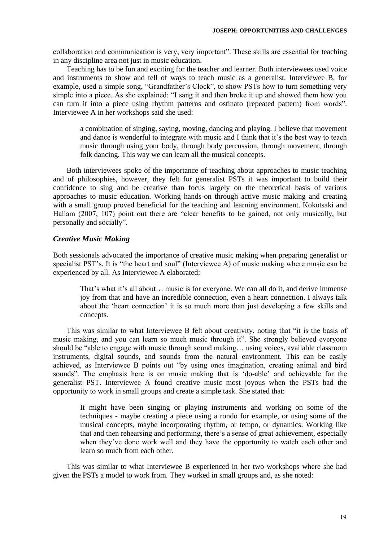collaboration and communication is very, very important". These skills are essential for teaching in any discipline area not just in music education.

Teaching has to be fun and exciting for the teacher and learner. Both interviewees used voice and instruments to show and tell of ways to teach music as a generalist. Interviewee B, for example, used a simple song, "Grandfather's Clock", to show PSTs how to turn something very simple into a piece. As she explained: "I sang it and then broke it up and showed them how you can turn it into a piece using rhythm patterns and ostinato (repeated pattern) from words". Interviewee A in her workshops said she used:

a combination of singing, saying, moving, dancing and playing. I believe that movement and dance is wonderful to integrate with music and I think that it's the best way to teach music through using your body, through body percussion, through movement, through folk dancing. This way we can learn all the musical concepts.

Both interviewees spoke of the importance of teaching about approaches to music teaching and of philosophies, however, they felt for generalist PSTs it was important to build their confidence to sing and be creative than focus largely on the theoretical basis of various approaches to music education. Working hands-on through active music making and creating with a small group proved beneficial for the teaching and learning environment. Kokotsaki and Hallam (2007, 107) point out there are "clear benefits to be gained, not only musically, but personally and socially".

### *Creative Music Making*

Both sessionals advocated the importance of creative music making when preparing generalist or specialist PST's. It is "the heart and soul" (Interviewee A) of music making where music can be experienced by all. As Interviewee A elaborated:

That's what it's all about… music is for everyone. We can all do it, and derive immense joy from that and have an incredible connection, even a heart connection. I always talk about the 'heart connection' it is so much more than just developing a few skills and concepts.

This was similar to what Interviewee B felt about creativity, noting that "it is the basis of music making, and you can learn so much music through it". She strongly believed everyone should be "able to engage with music through sound making… using voices, available classroom instruments, digital sounds, and sounds from the natural environment. This can be easily achieved, as Interviewee B points out "by using ones imagination, creating animal and bird sounds". The emphasis here is on music making that is 'do-able' and achievable for the generalist PST. Interviewee A found creative music most joyous when the PSTs had the opportunity to work in small groups and create a simple task. She stated that:

It might have been singing or playing instruments and working on some of the techniques - maybe creating a piece using a rondo for example, or using some of the musical concepts, maybe incorporating rhythm, or tempo, or dynamics. Working like that and then rehearsing and performing, there's a sense of great achievement, especially when they've done work well and they have the opportunity to watch each other and learn so much from each other.

This was similar to what Interviewee B experienced in her two workshops where she had given the PSTs a model to work from. They worked in small groups and, as she noted: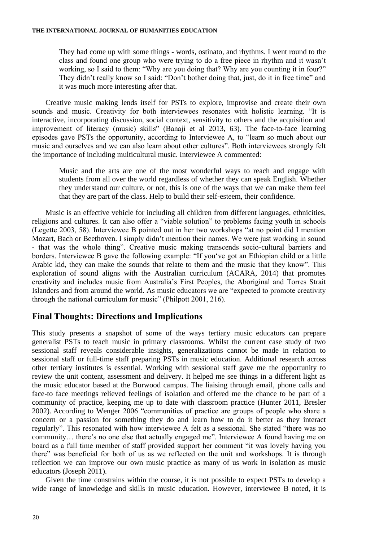They had come up with some things - words, ostinato, and rhythms. I went round to the class and found one group who were trying to do a free piece in rhythm and it wasn't working, so I said to them: "Why are you doing that? Why are you counting it in four?" They didn't really know so I said: "Don't bother doing that, just, do it in free time" and it was much more interesting after that.

Creative music making lends itself for PSTs to explore, improvise and create their own sounds and music. Creativity for both interviewees resonates with holistic learning. "It is interactive, incorporating discussion, social context, sensitivity to others and the acquisition and improvement of literacy (music) skills" (Banaji et al 2013, 63). The face-to-face learning episodes gave PSTs the opportunity, according to Interviewee A, to "learn so much about our music and ourselves and we can also learn about other cultures". Both interviewees strongly felt the importance of including multicultural music. Interviewee A commented:

Music and the arts are one of the most wonderful ways to reach and engage with students from all over the world regardless of whether they can speak English. Whether they understand our culture, or not, this is one of the ways that we can make them feel that they are part of the class. Help to build their self-esteem, their confidence.

Music is an effective vehicle for including all children from different languages, ethnicities, religions and cultures. It can also offer a "viable solution" to problems facing youth in schools (Legette 2003, 58). Interviewee B pointed out in her two workshops "at no point did I mention Mozart, Bach or Beethoven. I simply didn't mention their names. We were just working in sound - that was the whole thing". Creative music making transcends socio-cultural barriers and borders. Interviewee B gave the following example: "If you've got an Ethiopian child or a little Arabic kid, they can make the sounds that relate to them and the music that they know". This exploration of sound aligns with the Australian curriculum (ACARA, 2014) that promotes creativity and includes music from Australia's First Peoples, the Aboriginal and Torres Strait Islanders and from around the world. As music educators we are "expected to promote creativity through the national curriculum for music" (Philpott 2001, 216).

# **Final Thoughts: Directions and Implications**

This study presents a snapshot of some of the ways tertiary music educators can prepare generalist PSTs to teach music in primary classrooms. Whilst the current case study of two sessional staff reveals considerable insights, generalizations cannot be made in relation to sessional staff or full-time staff preparing PSTs in music education. Additional research across other tertiary institutes is essential. Working with sessional staff gave me the opportunity to review the unit content, assessment and delivery. It helped me see things in a different light as the music educator based at the Burwood campus. The liaising through email, phone calls and face-to face meetings relieved feelings of isolation and offered me the chance to be part of a community of practice, keeping me up to date with classroom practice (Hunter 2011, Bresler 2002). According to Wenger 2006 "communities of practice are groups of people who share a concern or a passion for something they do and learn how to do it better as they interact regularly". This resonated with how interviewee A felt as a sessional. She stated "there was no community… there's no one else that actually engaged me". Interviewee A found having me on board as a full time member of staff provided support her comment "it was lovely having you there" was beneficial for both of us as we reflected on the unit and workshops. It is through reflection we can improve our own music practice as many of us work in isolation as music educators (Joseph 2011).

Given the time constrains within the course, it is not possible to expect PSTs to develop a wide range of knowledge and skills in music education. However, interviewee B noted, it is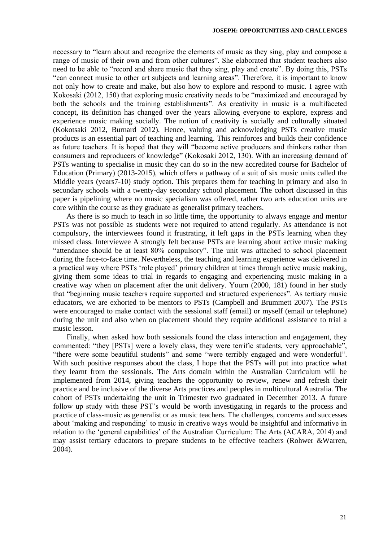necessary to "learn about and recognize the elements of music as they sing, play and compose a range of music of their own and from other cultures". She elaborated that student teachers also need to be able to "record and share music that they sing, play and create". By doing this, PSTs "can connect music to other art subjects and learning areas". Therefore, it is important to know not only how to create and make, but also how to explore and respond to music. I agree with Kokosaki (2012, 150) that exploring music creativity needs to be "maximized and encouraged by both the schools and the training establishments". As creativity in music is a multifaceted concept, its definition has changed over the years allowing everyone to explore, express and experience music making socially. The notion of creativity is socially and culturally situated (Kokotsaki 2012, Burnard 2012). Hence, valuing and acknowledging PSTs creative music products is an essential part of teaching and learning. This reinforces and builds their confidence as future teachers. It is hoped that they will "become active producers and thinkers rather than consumers and reproducers of knowledge" (Kokosaki 2012, 130). With an increasing demand of PSTs wanting to specialise in music they can do so in the new accredited course for Bachelor of Education (Primary) (2013-2015), which offers a pathway of a suit of six music units called the Middle years (years7-10) study option. This prepares them for teaching in primary and also in secondary schools with a twenty-day secondary school placement. The cohort discussed in this paper is pipelining where no music specialism was offered, rather two arts education units are core within the course as they graduate as generalist primary teachers.

As there is so much to teach in so little time, the opportunity to always engage and mentor PSTs was not possible as students were not required to attend regularly. As attendance is not compulsory, the interviewees found it frustrating, it left gaps in the PSTs learning when they missed class. Interviewee A strongly felt because PSTs are learning about active music making "attendance should be at least 80% compulsory". The unit was attached to school placement during the face-to-face time. Nevertheless, the teaching and learning experience was delivered in a practical way where PSTs 'role played' primary children at times through active music making, giving them some ideas to trial in regards to engaging and experiencing music making in a creative way when on placement after the unit delivery. Yourn (2000, 181) found in her study that "beginning music teachers require supported and structured experiences". As tertiary music educators, we are exhorted to be mentors to PSTs (Campbell and Brummett 2007). The PSTs were encouraged to make contact with the sessional staff (email) or myself (email or telephone) during the unit and also when on placement should they require additional assistance to trial a music lesson.

Finally, when asked how both sessionals found the class interaction and engagement, they commented: "they [PSTs] were a lovely class, they were terrific students, very approachable", "there were some beautiful students" and some "were terribly engaged and were wonderful". With such positive responses about the class, I hope that the PSTs will put into practice what they learnt from the sessionals. The Arts domain within the Australian Curriculum will be implemented from 2014, giving teachers the opportunity to review, renew and refresh their practice and be inclusive of the diverse Arts practices and peoples in multicultural Australia. The cohort of PSTs undertaking the unit in Trimester two graduated in December 2013. A future follow up study with these PST's would be worth investigating in regards to the process and practice of class-music as generalist or as music teachers. The challenges, concerns and successes about 'making and responding' to music in creative ways would be insightful and informative in relation to the 'general capabilities' of the Australian Curriculum: The Arts (ACARA, 2014) and may assist tertiary educators to prepare students to be effective teachers (Rohwer &Warren, 2004).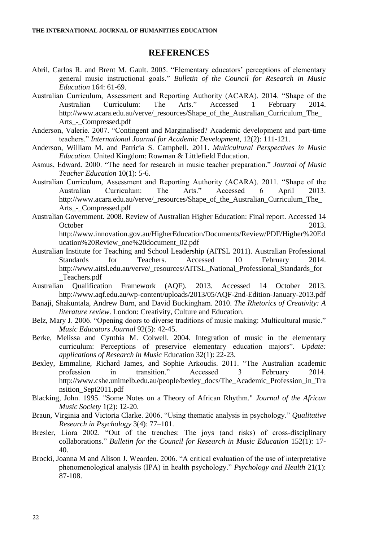#### **REFERENCES**

- Abril, Carlos R. and Brent M. Gault. 2005. "Elementary educators' perceptions of elementary general music instructional goals." *Bulletin of the Council for Research in Music Education* 164: 61-69.
- Australian Curriculum, Assessment and Reporting Authority (ACARA). 2014. "Shape of the Australian Curriculum: The Arts." Accessed 1 February 2014. http://www.acara.edu.au/verve/\_resources/Shape\_of\_the\_Australian\_Curriculum\_The\_ Arts\_-\_Compressed.pdf
- Anderson, Valerie. 2007. "Contingent and Marginalised? Academic development and part-time teachers." *International Journal for Academic Development*, 12(2): 111-121.
- Anderson, William M. and Patricia S. Campbell. 2011. *Multicultural Perspectives in Music Education*. United Kingdom: Rowman & Littlefield Education.
- Asmus, Edward. 2000. "The need for research in music teacher preparation." *Journal of Music Teacher Education* 10(1): 5-6.
- Australian Curriculum, Assessment and Reporting Authority (ACARA). 2011. "Shape of the Australian Curriculum: The Arts." Accessed 6 April 2013. http://www.acara.edu.au/verve/\_resources/Shape\_of\_the\_Australian\_Curriculum\_The\_ Arts\_-\_Compressed.pdf
- Australian Government. 2008. Review of Australian Higher Education: Final report. Accessed 14 October 2013. http://www.innovation.gov.au/HigherEducation/Documents/Review/PDF/Higher%20Ed

ucation%20Review\_one%20document\_02.pdf

- Australian Institute for Teaching and School Leadership (AITSL 2011). Australian Professional Standards for Teachers. Accessed 10 February 2014. http://www.aitsl.edu.au/verve/\_resources/AITSL\_National\_Professional\_Standards\_for \_Teachers.pdf
- Australian Qualification Framework (AQF). 2013. Accessed 14 October 2013. http://www.aqf.edu.au/wp-content/uploads/2013/05/AQF-2nd-Edition-January-2013.pdf
- Banaji, Shakuntala, Andrew Burn, and David Buckingham. 2010. *The Rhetorics of Creativity: A literature review*. London: Creativity, Culture and Education.
- Belz, Mary J. 2006. "Opening doors to diverse traditions of music making: Multicultural music." *Music Educators Journal* 92(5): 42-45.
- Berke, Melissa and Cynthia M. Colwell. 2004. Integration of music in the elementary curriculum: Perceptions of preservice elementary education majors". *Update: applications of Research in Music* Education 32(1): 22-23.
- Bexley, Emmaline, Richard James, and Sophie Arkoudis. 2011. "The Australian academic profession in transition." Accessed 3 February 2014. http://www.cshe.unimelb.edu.au/people/bexley\_docs/The\_Academic\_Profession\_in\_Tra nsition\_Sept2011.pdf
- Blacking, John. 1995. "Some Notes on a Theory of African Rhythm." *Journal of the African Music Society* 1(2): 12-20.
- Braun, Virginia and Victoria Clarke. 2006. "Using thematic analysis in psychology." *Qualitative Research in Psychology* 3(4): 77–101.
- Bresler, Liora 2002. "Out of the trenches: The joys (and risks) of cross-disciplinary collaborations." *Bulletin for the Council for Research in Music Education* 152(1): 17-40.
- Brocki, Joanna M and Alison J. Wearden. 2006. "A critical evaluation of the use of interpretative phenomenological analysis (IPA) in health psychology." *Psychology and Health* 21(1): 87-108.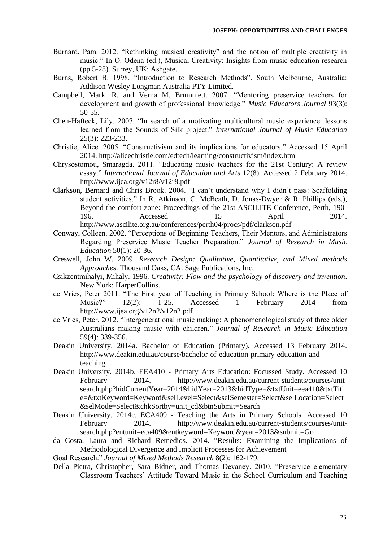- Burnard, Pam. 2012. "Rethinking musical creativity" and the notion of multiple creativity in music." In O. Odena (ed.), Musical Creativity: Insights from music education research (pp 5-28). Surrey, UK: Ashgate.
- Burns, Robert B. 1998. "Introduction to Research Methods". South Melbourne, Australia: Addison Wesley Longman Australia PTY Limited.
- Campbell, Mark. R. and Verna M. Brummett. 2007. "Mentoring preservice teachers for development and growth of professional knowledge." *Music Educators Journal* 93(3): 50-55.
- Chen-Hafteck, Lily. 2007. "In search of a motivating multicultural music experience: lessons learned from the Sounds of Silk project." *International Journal of Music Education*  25(3): 223-233.
- Christie, Alice. 2005. "Constructivism and its implications for educators." Accessed 15 April 2014. http://alicechristie.com/edtech/learning/constructivism/index.htm
- Chrysostomou, Smaragda. 2011. "Educating music teachers for the 21st Century: A review essay." *International Journal of Education and Arts* 12(8). Accessed 2 February 2014. http://www.ijea.org/v12r8/v12r8.pdf
- Clarkson, Bernard and Chris Brook. 2004. "I can't understand why I didn't pass: Scaffolding student activities." In R. Atkinson, C. McBeath, D. Jonas-Dwyer & R. Phillips (eds.), Beyond the comfort zone: Proceedings of the 21st ASCILITE Conference, Perth, 190- 196. **Accessed** 15 April 2014. http://www.ascilite.org.au/conferences/perth04/procs/pdf/clarkson.pdf
- Conway, Colleen. 2002. "Perceptions of Beginning Teachers, Their Mentors, and Administrators Regarding Preservice Music Teacher Preparation." *Journal of Research in Music Education* 50(1): 20-36.
- Creswell, John W. 2009. *Research Design: Qualitative, Quantitative, and Mixed methods Approaches*. Thousand Oaks, CA: Sage Publications, Inc.
- Csikzentmihalyi, Mihaly. 1996. *Creativity: Flow and the psychology of discovery and invention*. New York: HarperCollins.
- de Vries, Peter 2011. "The First year of Teaching in Primary School: Where is the Place of Music?" 12(2): 1-25. Accessed 1 February 2014 from http://www.ijea.org/v12n2/v12n2.pdf
- de Vries, Peter. 2012. "Intergenerational music making: A phenomenological study of three older Australians making music with children." *Journal of Research in Music Education* 59(4): 339-356.
- Deakin University. 2014a. Bachelor of Education (Primary). Accessed 13 February 2014. http://www.deakin.edu.au/course/bachelor-of-education-primary-education-andteaching
- Deakin University. 2014b. EEA410 Primary Arts Education: Focussed Study. Accessed 10 February 2014. http://www.deakin.edu.au/current-students/courses/unitsearch.php?hidCurrentYear=2014&hidYear=2013&hidType=&txtUnit=eea410&txtTitl e=&txtKeyword=Keyword&selLevel=Select&selSemester=Select&selLocation=Select &selMode=Select&chkSortby=unit\_cd&btnSubmit=Search
- Deakin University. 2014c. ECA409 Teaching the Arts in Primary Schools. Accessed 10 February 2014. http://www.deakin.edu.au/current-students/courses/unitsearch.php?entunit=eca409&entkeyword=Keyword&year=2013&submit=Go
- da Costa, Laura and Richard Remedios. 2014. "Results: Examining the Implications of Methodological Divergence and Implicit Processes for Achievement
- Goal Research." *Journal of Mixed Methods Research* 8(2): 162-179.
- Della Pietra, Christopher, Sara Bidner, and Thomas Devaney. 2010. "Preservice elementary Classroom Teachers' Attitude Toward Music in the School Curriculum and Teaching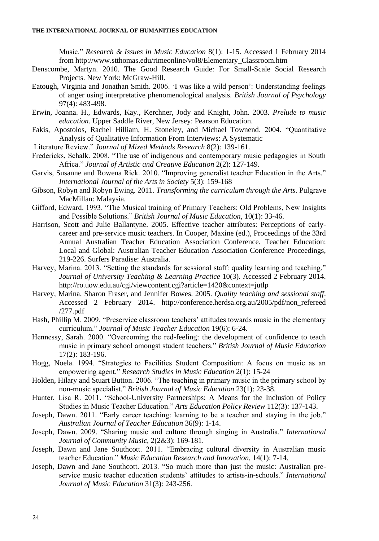Music." *Research & Issues in Music Education* 8(1): 1-15. Accessed 1 February 2014 from http://www.stthomas.edu/rimeonline/vol8/Elementary\_Classroom.htm

- Denscombe, Martyn. 2010. The Good Research Guide: For Small-Scale Social Research Projects. New York: McGraw-Hill.
- Eatough, Virginia and Jonathan Smith. 2006. 'I was like a wild person': Understanding feelings of anger using interpretative phenomenological analysis. *British Journal of Psychology*  97(4): 483-498.
- Erwin, Joanna. H., Edwards, Kay., Kerchner, Jody and Knight, John. 2003. *Prelude to music education*. Upper Saddle River, New Jersey: Pearson Education.
- Fakis, Apostolos, Rachel Hilliam, H. Stoneley, and Michael Townend. 2004. "Quantitative Analysis of Qualitative Information From Interviews: A Systematic
- Literature Review." *Journal of Mixed Methods Research* 8(2): 139-161.
- Fredericks, Schalk. 2008. "The use of indigenous and contemporary music pedagogies in South Africa." *Journal of Artistic and Creative Education* 2(2): 127-149.
- Garvis, Susanne and Rowena Riek. 2010. "Improving generalist teacher Education in the Arts." *International Journal of the Arts in Society* 5(3): 159-168
- Gibson, Robyn and Robyn Ewing. 2011. *Transforming the curriculum through the Arts*. Pulgrave MacMillan: Malaysia.
- Gifford, Edward. 1993. "The Musical training of Primary Teachers: Old Problems, New Insights and Possible Solutions." *British Journal of Music Education*, 10(1): 33-46.
- Harrison, Scott and Julie Ballantyne. 2005. Effective teacher attributes: Perceptions of earlycareer and pre-service music teachers. In Cooper, Maxine (ed.), Proceedings of the 33rd Annual Australian Teacher Education Association Conference. Teacher Education: Local and Global: Australian Teacher Education Association Conference Proceedings, 219-226. Surfers Paradise: Australia.
- Harvey, Marina. 2013. "Setting the standards for sessional staff: quality learning and teaching." *Journal of University Teaching & Learning Practice* 10(3). Accessed 2 February 2014. http://ro.uow.edu.au/cgi/viewcontent.cgi?article=1420&context=jutlp
- Harvey, Marina, Sharon Fraser, and Jennifer Bowes. 2005. *Quality teaching and sessional staff*. Accessed 2 February 2014. http://conference.herdsa.org.au/2005/pdf/non\_refereed /277.pdf
- Hash, Phillip M. 2009. "Preservice classroom teachers' attitudes towards music in the elementary curriculum." *Journal of Music Teacher Education* 19(6): 6-24.
- Hennessy, Sarah. 2000. "Overcoming the red-feeling: the development of confidence to teach music in primary school amongst student teachers." *British Journal of Music Education* 17(2): 183-196.
- Hogg, Noela. 1994. "Strategies to Facilities Student Composition: A focus on music as an empowering agent." *Research Studies in Music Education* 2(1): 15-24
- Holden, Hilary and Stuart Button. 2006. "The teaching in primary music in the primary school by non-music specialist." *British Journal of Music Education* 23(1): 23-38.
- Hunter, Lisa R. 2011. "School-University Partnerships: A Means for the Inclusion of Policy Studies in Music Teacher Education." *Arts Education Policy Review* 112(3): 137-143.
- Joseph, Dawn. 2011. "Early career teaching: learning to be a teacher and staying in the job." *Australian Journal of Teacher Education* 36(9): 1-14.
- Joseph, Dawn. 2009. "Sharing music and culture through singing in Australia." *International Journal of Community Music*, 2(2&3): 169-181.
- Joseph, Dawn and Jane Southcott. 2011. "Embracing cultural diversity in Australian music teacher Education." *Music Education Research and Innovation*, 14(1): 7-14.
- Joseph, Dawn and Jane Southcott. 2013. "So much more than just the music: Australian preservice music teacher education students' attitudes to artists-in-schools." *International Journal of Music Education* 31(3): 243-256.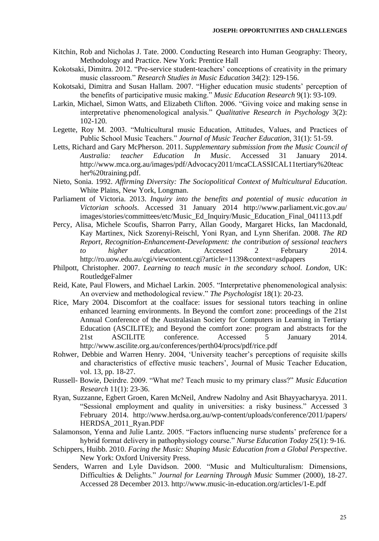- Kitchin, Rob and Nicholas J. Tate. 2000. Conducting Research into Human Geography: Theory, Methodology and Practice. New York: Prentice Hall
- Kokotsaki, Dimitra. 2012. "Pre-service student-teachers' conceptions of creativity in the primary music classroom." *Research Studies in Music Education* 34(2): 129-156.
- Kokotsaki, Dimitra and Susan Hallam. 2007. "Higher education music students' perception of the benefits of participative music making." *Music Education Research* 9(1): 93-109.
- Larkin, Michael, Simon Watts, and Elizabeth Clifton. 2006. "Giving voice and making sense in interpretative phenomenological analysis." *Qualitative Research in Psychology* 3(2): 102-120.
- Legette, Roy M. 2003. "Multicultural music Education, Attitudes, Values, and Practices of Public School Music Teachers." *Journal of Music Teacher Education*, 31(1): 51-59.
- Letts, Richard and Gary McPherson. 2011. *Supplementary submission from the Music Council of Australia: teacher Education In Music*. Accessed 31 January 2014. http://www.mca.org.au/images/pdf/Advocacy2011/mcaCLASSICAL11tertiary%20teac her%20training.pdf.
- Nieto, Sonia. 1992. *Affirming Diversity: The Sociopolitical Context of Multicultural Education*. White Plains, New York, Longman.
- Parliament of Victoria. 2013. *Inquiry into the benefits and potential of music education in Victorian schools*. Accessed 31 January 2014 http://www.parliament.vic.gov.au/ images/stories/committees/etc/Music\_Ed\_Inquiry/Music\_Education\_Final\_041113.pdf
- Percy, Alisa, Michele Scoufis, Sharron Parry, Allan Goody, Margaret Hicks, Ian Macdonald, Kay Martinex, Nick Szorenyi-Reischl, Yoni Ryan, and Lynn Sherifan. 2008. *The RD Report, Recognition-Enhancement-Development: the contribution of sessional teachers to higher education*. Accessed 2 February 2014. http://ro.uow.edu.au/cgi/viewcontent.cgi?article=1139&context=asdpapers
- Philpott, Christopher. 2007. *Learning to teach music in the secondary school. London*, UK: RoutledgeFalmer
- Reid, Kate, Paul Flowers, and Michael Larkin. 2005. "Interpretative phenomenological analysis: An overview and methodological review." *The Psychologist* 18(1): 20-23.
- Rice, Mary 2004. Discomfort at the coalface: issues for sessional tutors teaching in online enhanced learning environments. In Beyond the comfort zone: proceedings of the 21st Annual Conference of the Australasian Society for Computers in Learning in Tertiary Education (ASCILITE); and Beyond the comfort zone: program and abstracts for the 21st ASCILITE conference. Accessed 5 January 2014. http://www.ascilite.org.au/conferences/perth04/procs/pdf/rice.pdf
- Rohwer, Debbie and Warren Henry. 2004, 'University teacher's perceptions of requisite skills and characteristics of effective music teachers', Journal of Music Teacher Education, vol. 13, pp. 18-27.
- Russell- Bowie, Deirdre. 2009. "What me? Teach music to my primary class?" *Music Education Research* 11(1): 23-36.
- Ryan, Suzzanne, Egbert Groen, Karen McNeil, Andrew Nadolny and Asit Bhayyacharyya. 2011. "Sessional employment and quality in universities: a risky business." Accessed 3 February 2014. http://www.herdsa.org.au/wp-content/uploads/conference/2011/papers/ HERDSA\_2011\_Ryan.PDF
- Salamonson, Yenna and Julie Lantz. 2005. "Factors influencing nurse students' preference for a hybrid format delivery in pathophysiology course." *Nurse Education Today* 25(1): 9-16.
- Schippers, Huibb. 2010. *Facing the Music: Shaping Music Education from a Global Perspective*. New York: Oxford University Press.
- Senders, Warren and Lyle Davidson. 2000. "Music and Multiculturalism: Dimensions, Difficulties & Delights." *Journal for Learning Through Music* Summer (2000), 18-27. Accessed 28 December 2013. http://www.music-in-education.org/articles/1-E.pdf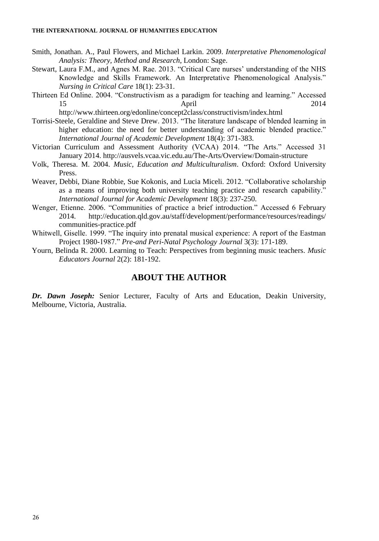- Smith, Jonathan. A., Paul Flowers, and Michael Larkin. 2009. *Interpretative Phenomenological Analysis: Theory, Method and Research*, London: Sage.
- Stewart, Laura F.M., and Agnes M. Rae. 2013. "Critical Care nurses' understanding of the NHS Knowledge and Skills Framework. An Interpretative Phenomenological Analysis." *Nursing in Critical Care* 18(1): 23-31.
- Thirteen Ed Online. 2004. "Constructivism as a paradigm for teaching and learning." Accessed 15 April 2014

http://www.thirteen.org/edonline/concept2class/constructivism/index.html

- Torrisi-Steele, Geraldine and Steve Drew. 2013. "The literature landscape of blended learning in higher education: the need for better understanding of academic blended practice." *International Journal of Academic Development* 18(4): 371-383.
- Victorian Curriculum and Assessment Authority (VCAA) 2014. "The Arts." Accessed 31 January 2014. http://ausvels.vcaa.vic.edu.au/The-Arts/Overview/Domain-structure
- Volk, Theresa. M. 2004. *Music, Education and Multiculturalism*. Oxford: Oxford University Press.
- Weaver, Debbi, Diane Robbie, Sue Kokonis, and Lucia Miceli. 2012. "Collaborative scholarship as a means of improving both university teaching practice and research capability." *International Journal for Academic Development* 18(3): 237-250.
- Wenger, Etienne. 2006. "Communities of practice a brief introduction." Accessed 6 February 2014. http://education.qld.gov.au/staff/development/performance/resources/readings/ communities-practice.pdf
- Whitwell, Giselle. 1999. "The inquiry into prenatal musical experience: A report of the Eastman Project 1980-1987." *Pre-and Peri-Natal Psychology Journal* 3(3): 171-189.
- Yourn, Belinda R. 2000. Learning to Teach: Perspectives from beginning music teachers. *Music Educators Journal* 2(2): 181-192.

# **ABOUT THE AUTHOR**

*Dr. Dawn Joseph:* Senior Lecturer, Faculty of Arts and Education, Deakin University, Melbourne, Victoria, Australia.